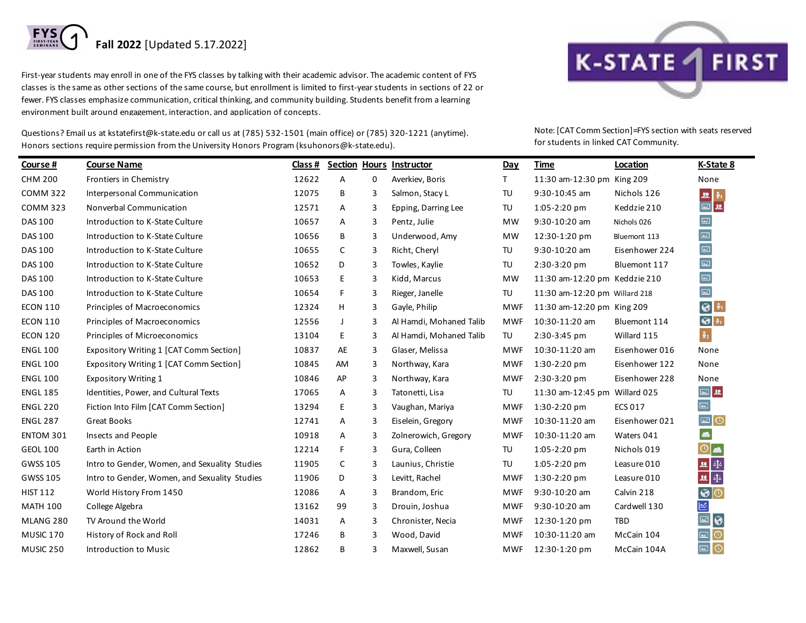

First-year students may enroll in one of the FYS classes by talking with their academic advisor. The academic content of FYS classes is the same as other sections of the same course, but enrollment is limited to first-year students in sections of 22 or fewer. FYS classes emphasize communication, critical thinking, and community building. Students benefit from a learning environment built around engagement, interaction, and application of concepts.

Questions? Email us at kstatefirst@k-state.edu or call us at (785) 532-1501 (main office) or (785) 320-1221 (anytime). Honors sections require permission from the University Honors Program (ksuhonors@k-state.edu).



Note: [CAT Comm Section]=FYS section with seats reserved for students in linked CAT Community.

| Course #        | <b>Course Name</b>                            | Class # |    |   | Section Hours Instructor | Day        | <b>Time</b>                   | Location       | K-State 8                                                      |
|-----------------|-----------------------------------------------|---------|----|---|--------------------------|------------|-------------------------------|----------------|----------------------------------------------------------------|
| <b>CHM 200</b>  | Frontiers in Chemistry                        | 12622   | А  | 0 | Averkiev, Boris          | T.         | 11:30 am-12:30 pm King 209    |                | None                                                           |
| <b>COMM 322</b> | Interpersonal Communication                   | 12075   | В  | 3 | Salmon, Stacy L          | TU         | 9:30-10:45 am                 | Nichols 126    |                                                                |
| <b>COMM 323</b> | Nonverbal Communication                       | 12571   | Α  | 3 | Epping, Darring Lee      | TU         | 1:05-2:20 pm                  | Keddzie 210    | $\begin{array}{c} \mathbf{u} \\ \hline \mathbf{u} \end{array}$ |
| DAS 100         | Introduction to K-State Culture               | 10657   | Α  | 3 | Pentz, Julie             | <b>MW</b>  | 9:30-10:20 am                 | Nichols 026    | $\boxed{\text{m}}$                                             |
| DAS 100         | Introduction to K-State Culture               | 10656   | В  | 3 | Underwood, Amy           | MW         | 12:30-1:20 pm                 | Bluemont 113   | $\left[\Xi\right]$                                             |
| DAS 100         | Introduction to K-State Culture               | 10655   | C  | 3 | Richt, Cheryl            | TU         | 9:30-10:20 am                 | Eisenhower 224 | $\boxed{\blacksquare}$                                         |
| DAS 100         | Introduction to K-State Culture               | 10652   | D  | 3 | Towles, Kaylie           | TU         | 2:30-3:20 pm                  | Bluemont 117   | $\boxed{\text{m}}$                                             |
| DAS 100         | Introduction to K-State Culture               | 10653   | E. | 3 | Kidd, Marcus             | <b>MW</b>  | 11:30 am-12:20 pm Keddzie 210 |                | $\boxed{\text{m}}$                                             |
| DAS 100         | Introduction to K-State Culture               | 10654   | F. | 3 | Rieger, Janelle          | TU         | 11:30 am-12:20 pm Willard 218 |                | $\boxed{\blacksquare}$                                         |
| <b>ECON 110</b> | Principles of Macroeconomics                  | 12324   | H  | 3 | Gayle, Philip            | <b>MWF</b> | 11:30 am-12:20 pm King 209    |                | $\bullet$<br>$\hat{\pi}$                                       |
| <b>ECON 110</b> | Principles of Macroeconomics                  | 12556   | J  | 3 | Al Hamdi, Mohaned Talib  | <b>MWF</b> | 10:30-11:20 am                | Bluemont 114   | $\boxed{\bigcircledast}$ in                                    |
| <b>ECON 120</b> | Principles of Microeconomics                  | 13104   | E. | 3 | Al Hamdi, Mohaned Talib  | TU         | 2:30-3:45 pm                  | Willard 115    | $\hat{\pi}_i$                                                  |
| <b>ENGL 100</b> | Expository Writing 1 [CAT Comm Section]       | 10837   | AE | 3 | Glaser, Melissa          | <b>MWF</b> | 10:30-11:20 am                | Eisenhower 016 | None                                                           |
| <b>ENGL 100</b> | Expository Writing 1 [CAT Comm Section]       | 10845   | AM | 3 | Northway, Kara           | MWF        | $1:30-2:20$ pm                | Eisenhower 122 | None                                                           |
| <b>ENGL 100</b> | <b>Expository Writing 1</b>                   | 10846   | AP | 3 | Northway, Kara           | <b>MWF</b> | 2:30-3:20 pm                  | Eisenhower 228 | None                                                           |
| <b>ENGL 185</b> | Identities, Power, and Cultural Texts         | 17065   | Α  | 3 | Tatonetti, Lisa          | TU         | 11:30 am-12:45 pm Willard 025 |                | $\boxed{\text{m}}$ , $\text{m}$                                |
| <b>ENGL 220</b> | Fiction Into Film [CAT Comm Section]          | 13294   | E. | 3 | Vaughan, Mariya          | <b>MWF</b> | $1:30-2:20$ pm                | <b>ECS 017</b> | $\Xi$                                                          |
| <b>ENGL 287</b> | <b>Great Books</b>                            | 12741   | Α  | 3 | Eiselein, Gregory        | <b>MWF</b> | 10:30-11:20 am                | Eisenhower 021 | $\boxed{\blacksquare} \textsf{O}$                              |
| ENTOM 301       | Insects and People                            | 10918   | Α  | 3 | Zolnerowich, Gregory     | <b>MWF</b> | 10:30-11:20 am                | Waters 041     | $\bullet$                                                      |
| <b>GEOL 100</b> | Earth in Action                               | 12214   | F. | 3 | Gura, Colleen            | TU         | 1:05-2:20 pm                  | Nichols 019    | $\circ$                                                        |
| GWSS 105        | Intro to Gender, Women, and Sexuality Studies | 11905   | С  | 3 | Launius, Christie        | TU         | 1:05-2:20 pm                  | Leasure 010    | 四重                                                             |
| GWSS 105        | Intro to Gender, Women, and Sexuality Studies | 11906   | D  | 3 | Levitt, Rachel           | <b>MWF</b> | 1:30-2:20 pm                  | Leasure 010    | 四重                                                             |
| <b>HIST 112</b> | World History From 1450                       | 12086   | Α  | 3 | Brandom, Eric            | MWF        | 9:30-10:20 am                 | Calvin 218     | $\odot$                                                        |
| <b>MATH 100</b> | College Algebra                               | 13162   | 99 | 3 | Drouin, Joshua           | <b>MWF</b> | 9:30-10:20 am                 | Cardwell 130   | $\boxed{\approx}$                                              |
| MLANG 280       | TV Around the World                           | 14031   | Α  | 3 | Chronister, Necia        | <b>MWF</b> | 12:30-1:20 pm                 | <b>TBD</b>     | $\Xi$<br>$\bullet$                                             |
| MUSIC 170       | History of Rock and Roll                      | 17246   | В  | 3 | Wood, David              | <b>MWF</b> | 10:30-11:20 am                | McCain 104     | $\Xi$<br>$\circ$                                               |
| MUSIC 250       | Introduction to Music                         | 12862   | В  | 3 | Maxwell, Susan           | <b>MWF</b> | 12:30-1:20 pm                 | McCain 104A    | $\Xi$<br>$\odot$                                               |